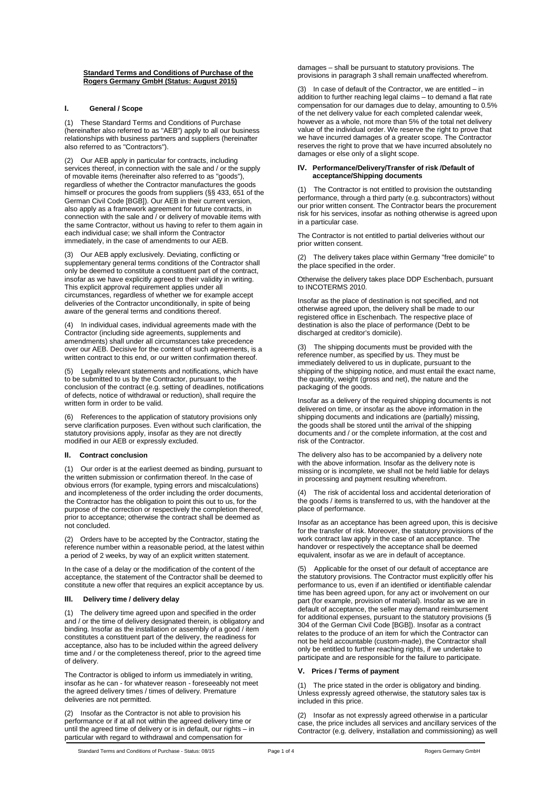#### **Standard Terms and Conditions of Purchase of the Rogers Germany GmbH (Status: August 2015)**

#### **I. General / Scope**

(1) These Standard Terms and Conditions of Purchase (hereinafter also referred to as "AEB") apply to all our business relationships with business partners and suppliers (hereinafter also referred to as "Contractors").

(2) Our AEB apply in particular for contracts, including services thereof, in connection with the sale and / or the supply of movable items (hereinafter also referred to as "goods"), of flowable herms there induct disoloned to as  $\frac{1}{2}$ ,  $\frac{1}{2}$ , regardless of whether the Contractor manufactures the goods himself or procures the goods from suppliers (§§ 433, 651 of the German Civil Code [BGB]). Our AEB in their current version, also apply as a framework agreement for future contracts, in connection with the sale and / or delivery of movable items with the same Contractor, without us having to refer to them again in each individual case; we shall inform the Contractor immediately, in the case of amendments to our AEB.

(3) Our AEB apply exclusively. Deviating, conflicting or supplementary general terms conditions of the Contractor shall only be deemed to constitute a constituent part of the contract, insofar as we have explicitly agreed to their validity in writing. This explicit approval requirement applies under all circumstances, regardless of whether we for example accept deliveries of the Contractor unconditionally, in spite of being aware of the general terms and conditions thereof.

(4) In individual cases, individual agreements made with the Contractor (including side agreements, supplements and amendments) shall under all circumstances take precedence over our AEB. Decisive for the content of such agreements, is a written contract to this end, or our written confirmation thereof.

(5) Legally relevant statements and notifications, which have to be submitted to us by the Contractor, pursuant to the conclusion of the contract (e.g. setting of deadlines, notifications of defects, notice of withdrawal or reduction), shall require the written form in order to be valid.

References to the application of statutory provisions only serve clarification purposes. Even without such clarification, the statutory provisions apply, insofar as they are not directly modified in our AEB or expressly excluded.

## **II. Contract conclusion**

(1) Our order is at the earliest deemed as binding, pursuant to the written submission or confirmation thereof. In the case of obvious errors (for example, typing errors and miscalculations) and incompleteness of the order including the order documents, the Contractor has the obligation to point this out to us, for the purpose of the correction or respectively the completion thereof, prior to acceptance; otherwise the contract shall be deemed as not concluded.

(2) Orders have to be accepted by the Contractor, stating the reference number within a reasonable period, at the latest within a period of 2 weeks, by way of an explicit written statement.

In the case of a delay or the modification of the content of the acceptance, the statement of the Contractor shall be deemed to constitute a new offer that requires an explicit acceptance by us.

## **III. Delivery time / delivery delay**

(1) The delivery time agreed upon and specified in the order and / or the time of delivery designated therein, is obligatory and binding. Insofar as the installation or assembly of a good / item constitutes a constituent part of the delivery, the readiness for acceptance, also has to be included within the agreed delivery time and / or the completeness thereof, prior to the agreed time of delivery.

The Contractor is obliged to inform us immediately in writing, insofar as he can - for whatever reason - foreseeably not meet the agreed delivery times / times of delivery. Premature deliveries are not permitted.

(2) Insofar as the Contractor is not able to provision his performance or if at all not within the agreed delivery time or until the agreed time of delivery or is in default, our rights – in particular with regard to withdrawal and compensation for

damages – shall be pursuant to statutory provisions. The provisions in paragraph 3 shall remain unaffected wherefrom.

(3) In case of default of the Contractor, we are entitled – in addition to further reaching legal claims – to demand a flat rate compensation for our damages due to delay, amounting to 0.5% of the net delivery value for each completed calendar week, however as a whole, not more than 5% of the total net delivery value of the individual order. We reserve the right to prove that we have incurred damages of a greater scope. The Contractor reserves the right to prove that we have incurred absolutely no damages or else only of a slight scope.

#### **IV. Performance/Delivery/Transfer of risk /Default of acceptance/Shipping documents**

(1) The Contractor is not entitled to provision the outstanding performance, through a third party (e.g. subcontractors) without our prior written consent. The Contractor bears the procurement risk for his services, insofar as nothing otherwise is agreed upon in a particular case.

The Contractor is not entitled to partial deliveries without our prior written consent.

(2) The delivery takes place within Germany "free domicile" to the place specified in the order.

Otherwise the delivery takes place DDP Eschenbach, pursuant to INCOTERMS 2010.

Insofar as the place of destination is not specified, and not otherwise agreed upon, the delivery shall be made to our registered office in Eschenbach. The respective place of destination is also the place of performance (Debt to be discharged at creditor's domicile).

(3) The shipping documents must be provided with the reference number, as specified by us. They must be immediately delivered to us in duplicate, pursuant to the shipping of the shipping notice, and must entail the exact name, the quantity, weight (gross and net), the nature and the packaging of the goods.

Insofar as a delivery of the required shipping documents is not delivered on time, or insofar as the above information in the shipping documents and indications are (partially) missing, the goods shall be stored until the arrival of the shipping documents and / or the complete information, at the cost and risk of the Contractor.

The delivery also has to be accompanied by a delivery note with the above information. Insofar as the delivery note is missing or is incomplete, we shall not be held liable for delays in processing and payment resulting wherefrom.

(4) The risk of accidental loss and accidental deterioration of the goods / items is transferred to us, with the handover at the place of performance.

Insofar as an acceptance has been agreed upon, this is decisive for the transfer of risk. Moreover, the statutory provisions of the work contract law apply in the case of an acceptance. The handover or respectively the acceptance shall be deemed equivalent, insofar as we are in default of acceptance.

(5) Applicable for the onset of our default of acceptance are the statutory provisions. The Contractor must explicitly offer his performance to us, even if an identified or identifiable calendar time has been agreed upon, for any act or involvement on our part (for example, provision of material). Insofar as we are in default of acceptance, the seller may demand reimbursement for additional expenses, pursuant to the statutory provisions (§ 304 of the German Civil Code [BGB]). Insofar as a contract relates to the produce of an item for which the Contractor can not be held accountable (custom-made), the Contractor shall only be entitled to further reaching rights, if we undertake to participate and are responsible for the failure to participate.

#### **V. Prices / Terms of payment**

(1) The price stated in the order is obligatory and binding. Unless expressly agreed otherwise, the statutory sales tax is included in this price.

(2) Insofar as not expressly agreed otherwise in a particular case, the price includes all services and ancillary services of the Contractor (e.g. delivery, installation and commissioning) as well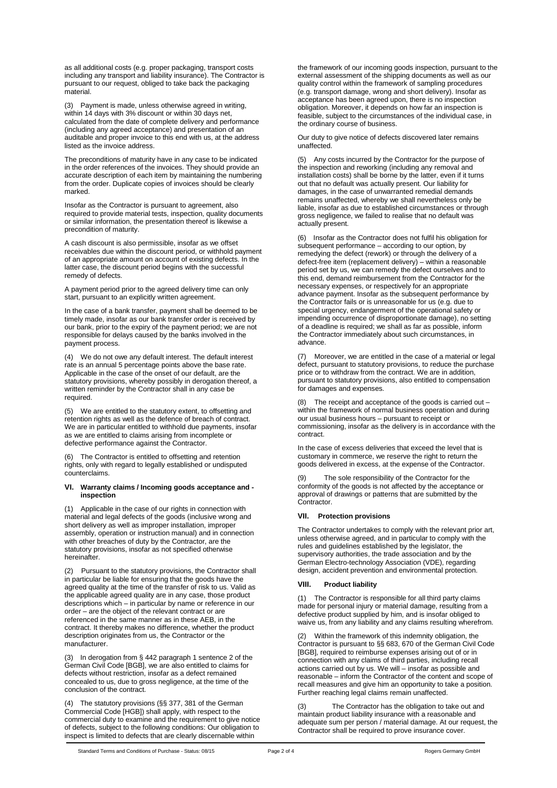as all additional costs (e.g. proper packaging, transport costs including any transport and liability insurance). The Contractor is pursuant to our request, obliged to take back the packaging material.

(3) Payment is made, unless otherwise agreed in writing, within 14 days with 3% discount or within 30 days net, calculated from the date of complete delivery and performance (including any agreed acceptance) and presentation of an auditable and proper invoice to this end with us, at the address listed as the invoice address.

The preconditions of maturity have in any case to be indicated in the order references of the invoices. They should provide an accurate description of each item by maintaining the numbering from the order. Duplicate copies of invoices should be clearly marked.

Insofar as the Contractor is pursuant to agreement, also required to provide material tests, inspection, quality documents or similar information, the presentation thereof is likewise a precondition of maturity.

A cash discount is also permissible, insofar as we offset receivables due within the discount period, or withhold payment of an appropriate amount on account of existing defects. In the latter case, the discount period begins with the successful remedy of defects.

A payment period prior to the agreed delivery time can only start, pursuant to an explicitly written agreement.

In the case of a bank transfer, payment shall be deemed to be timely made, insofar as our bank transfer order is received by our bank, prior to the expiry of the payment period; we are not responsible for delays caused by the banks involved in the payment process.

We do not owe any default interest. The default interest rate is an annual 5 percentage points above the base rate. Applicable in the case of the onset of our default, are the statutory provisions, whereby possibly in derogation thereof, a written reminder by the Contractor shall in any case be required.

(5) We are entitled to the statutory extent, to offsetting and retention rights as well as the defence of breach of contract. We are in particular entitled to withhold due payments, insofar as we are entitled to claims arising from incomplete or defective performance against the Contractor.

(6) The Contractor is entitled to offsetting and retention rights, only with regard to legally established or undisputed counterclaims.

#### **VI. Warranty claims / Incoming goods acceptance and inspection**

(1) Applicable in the case of our rights in connection with material and legal defects of the goods (inclusive wrong and short delivery as well as improper installation, improper assembly, operation or instruction manual) and in connection with other breaches of duty by the Contractor, are the statutory provisions, insofar as not specified otherwise hereinafter.

(2) Pursuant to the statutory provisions, the Contractor shall in particular be liable for ensuring that the goods have the agreed quality at the time of the transfer of risk to us. Valid as the applicable agreed quality are in any case, those product descriptions which – in particular by name or reference in our order – are the object of the relevant contract or are referenced in the same manner as in these AEB, in the contract. It thereby makes no difference, whether the product description originates from us, the Contractor or the manufacturer.

(3) In derogation from § 442 paragraph 1 sentence 2 of the German Civil Code [BGB], we are also entitled to claims for defects without restriction, insofar as a defect remained concealed to us, due to gross negligence, at the time of the conclusion of the contract.

(4) The statutory provisions (§§ 377, 381 of the German Commercial Code [HGB]) shall apply, with respect to the commercial duty to examine and the requirement to give notice of defects, subject to the following conditions: Our obligation to inspect is limited to defects that are clearly discernable within

the framework of our incoming goods inspection, pursuant to the external assessment of the shipping documents as well as our quality control within the framework of sampling procedures (e.g. transport damage, wrong and short delivery). Insofar as acceptance has been agreed upon, there is no inspection obligation. Moreover, it depends on how far an inspection is feasible, subject to the circumstances of the individual case, in the ordinary course of business.

Our duty to give notice of defects discovered later remains unaffected.

(5) Any costs incurred by the Contractor for the purpose of the inspection and reworking (including any removal and installation costs) shall be borne by the latter, even if it turns out that no default was actually present. Our liability for damages, in the case of unwarranted remedial demands remains unaffected, whereby we shall nevertheless only be liable, insofar as due to established circumstances or through gross negligence, we failed to realise that no default was actually present.

(6) Insofar as the Contractor does not fulfil his obligation for subsequent performance – according to our option, by remedying the defect (rework) or through the delivery of a defect-free item (replacement delivery) – within a reasonable period set by us, we can remedy the defect ourselves and to this end, demand reimbursement from the Contractor for the necessary expenses, or respectively for an appropriate advance payment. Insofar as the subsequent performance by the Contractor fails or is unreasonable for us (e.g. due to special urgency, endangerment of the operational safety or impending occurrence of disproportionate damage), no setting of a deadline is required; we shall as far as possible, inform the Contractor immediately about such circumstances, in advance.

(7) Moreover, we are entitled in the case of a material or legal defect, pursuant to statutory provisions, to reduce the purchase price or to withdraw from the contract. We are in addition, pursuant to statutory provisions, also entitled to compensation for damages and expenses.

The receipt and acceptance of the goods is carried out  $$ within the framework of normal business operation and during our usual business hours – pursuant to receipt or commissioning, insofar as the delivery is in accordance with the contract.

In the case of excess deliveries that exceed the level that is customary in commerce, we reserve the right to return the goods delivered in excess, at the expense of the Contractor.

The sole responsibility of the Contractor for the conformity of the goods is not affected by the acceptance or approval of drawings or patterns that are submitted by the Contractor.

# **VII. Protection provisions**

The Contractor undertakes to comply with the relevant prior art, unless otherwise agreed, and in particular to comply with the rules and guidelines established by the legislator, the supervisory authorities, the trade association and by the German Electro-technology Association (VDE), regarding design, accident prevention and environmental protection.

## **VIII. Product liability**

(1) The Contractor is responsible for all third party claims made for personal injury or material damage, resulting from a defective product supplied by him, and is insofar obliged to waive us, from any liability and any claims resulting wherefrom.

Within the framework of this indemnity obligation, the Contractor is pursuant to §§ 683, 670 of the German Civil Code [BGB], required to reimburse expenses arising out of or in connection with any claims of third parties, including recall actions carried out by us. We will – insofar as possible and reasonable – inform the Contractor of the content and scope of recall measures and give him an opportunity to take a position. Further reaching legal claims remain unaffected.

The Contractor has the obligation to take out and maintain product liability insurance with a reasonable and adequate sum per person / material damage. At our request, the Contractor shall be required to prove insurance cover.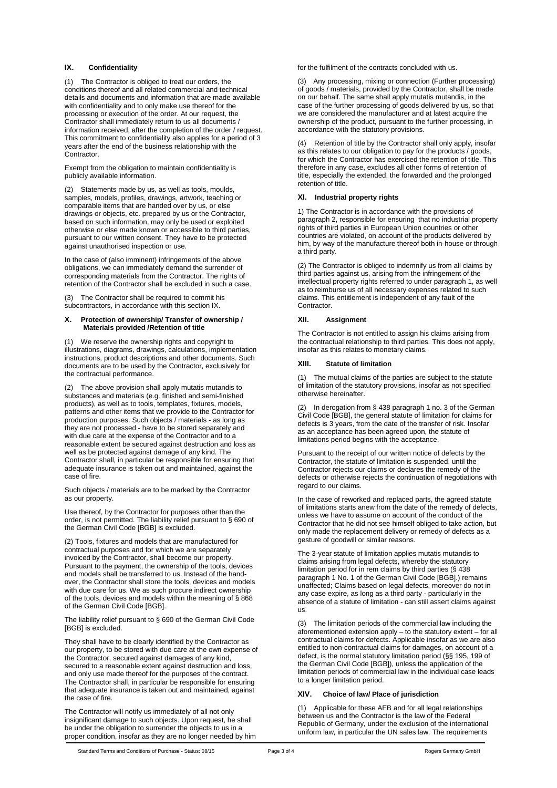## **IX. Confidentiality**

(1) The Contractor is obliged to treat our orders, the conditions thereof and all related commercial and technical details and documents and information that are made available with confidentiality and to only make use thereof for the processing or execution of the order. At our request, the Contractor shall immediately return to us all documents / information received, after the completion of the order / request. This commitment to confidentiality also applies for a period of 3 years after the end of the business relationship with the Contractor.

Exempt from the obligation to maintain confidentiality is publicly available information.

(2) Statements made by us, as well as tools, moulds, samples, models, profiles, drawings, artwork, teaching or comparable items that are handed over by us, or else drawings or objects, etc. prepared by us or the Contractor, based on such information, may only be used or exploited otherwise or else made known or accessible to third parties, pursuant to our written consent. They have to be protected against unauthorised inspection or use.

In the case of (also imminent) infringements of the above obligations, we can immediately demand the surrender of corresponding materials from the Contractor. The rights of retention of the Contractor shall be excluded in such a case.

(3) The Contractor shall be required to commit his subcontractors, in accordance with this section IX.

#### **X. Protection of ownership/ Transfer of ownership / Materials provided /Retention of title**

We reserve the ownership rights and copyright to illustrations, diagrams, drawings, calculations, implementation instructions, product descriptions and other documents. Such documents are to be used by the Contractor, exclusively for the contractual performance.

(2) The above provision shall apply mutatis mutandis to substances and materials (e.g. finished and semi-finished products), as well as to tools, templates, fixtures, models, patterns and other items that we provide to the Contractor for production purposes. Such objects / materials - as long as they are not processed - have to be stored separately and with due care at the expense of the Contractor and to a reasonable extent be secured against destruction and loss as well as be protected against damage of any kind. The Contractor shall, in particular be responsible for ensuring that adequate insurance is taken out and maintained, against the case of fire.

Such objects / materials are to be marked by the Contractor as our property.

Use thereof, by the Contractor for purposes other than the order, is not permitted. The liability relief pursuant to § 690 of the German Civil Code [BGB] is excluded.

(2) Tools, fixtures and models that are manufactured for contractual purposes and for which we are separately invoiced by the Contractor, shall become our property. Pursuant to the payment, the ownership of the tools, devices and models shall be transferred to us. Instead of the handover, the Contractor shall store the tools, devices and models with due care for us. We as such procure indirect ownership of the tools, devices and models within the meaning of § 868 of the German Civil Code [BGB].

The liability relief pursuant to § 690 of the German Civil Code [BGB] is excluded.

They shall have to be clearly identified by the Contractor as our property, to be stored with due care at the own expense of the Contractor, secured against damages of any kind, secured to a reasonable extent against destruction and loss, and only use made thereof for the purposes of the contract. The Contractor shall, in particular be responsible for ensuring that adequate insurance is taken out and maintained, against the case of fire.

The Contractor will notify us immediately of all not only insignificant damage to such objects. Upon request, he shall be under the obligation to surrender the objects to us in a proper condition, insofar as they are no longer needed by him for the fulfilment of the contracts concluded with us.

(3) Any processing, mixing or connection (Further processing) of goods / materials, provided by the Contractor, shall be made on our behalf. The same shall apply mutatis mutandis, in the case of the further processing of goods delivered by us, so that we are considered the manufacturer and at latest acquire the ownership of the product, pursuant to the further processing, in accordance with the statutory provisions.

Retention of title by the Contractor shall only apply, insofar as this relates to our obligation to pay for the products / goods, for which the Contractor has exercised the retention of title. This therefore in any case, excludes all other forms of retention of title, especially the extended, the forwarded and the prolonged retention of title.

## **XI. Industrial property rights**

1) The Contractor is in accordance with the provisions of paragraph 2, responsible for ensuring that no industrial property rights of third parties in European Union countries or other countries are violated, on account of the products delivered by him, by way of the manufacture thereof both in-house or through a third party.

(2) The Contractor is obliged to indemnify us from all claims by third parties against us, arising from the infringement of the intellectual property rights referred to under paragraph 1, as well as to reimburse us of all necessary expenses related to such claims. This entitlement is independent of any fault of the **Contractor** 

# **XII. Assignment**

The Contractor is not entitled to assign his claims arising from the contractual relationship to third parties. This does not apply, insofar as this relates to monetary claims.

## **XIII. Statute of limitation**

(1) The mutual claims of the parties are subject to the statute of limitation of the statutory provisions, insofar as not specified otherwise hereinafter.

(2) In derogation from § 438 paragraph 1 no. 3 of the German Civil Code [BGB], the general statute of limitation for claims for defects is 3 years, from the date of the transfer of risk. Insofar as an acceptance has been agreed upon, the statute of limitations period begins with the acceptance.

Pursuant to the receipt of our written notice of defects by the Contractor, the statute of limitation is suspended, until the Contractor rejects our claims or declares the remedy of the defects or otherwise rejects the continuation of negotiations with regard to our claims.

In the case of reworked and replaced parts, the agreed statute of limitations starts anew from the date of the remedy of defects, unless we have to assume on account of the conduct of the Contractor that he did not see himself obliged to take action, but only made the replacement delivery or remedy of defects as a gesture of goodwill or similar reasons.

The 3-year statute of limitation applies mutatis mutandis to claims arising from legal defects, whereby the statutory limitation period for in rem claims by third parties (§ 438 paragraph 1 No. 1 of the German Civil Code [BGB].) remains unaffected; Claims based on legal defects, moreover do not in any case expire, as long as a third party - particularly in the absence of a statute of limitation - can still assert claims against us.

(3) The limitation periods of the commercial law including the aforementioned extension apply – to the statutory extent – for all contractual claims for defects. Applicable insofar as we are also entitled to non-contractual claims for damages, on account of a defect, is the normal statutory limitation period (§§ 195, 199 of the German Civil Code [BGB]), unless the application of the limitation periods of commercial law in the individual case leads to a longer limitation period.

## **XIV. Choice of law/ Place of jurisdiction**

(1) Applicable for these AEB and for all legal relationships between us and the Contractor is the law of the Federal Republic of Germany, under the exclusion of the international uniform law, in particular the UN sales law. The requirements